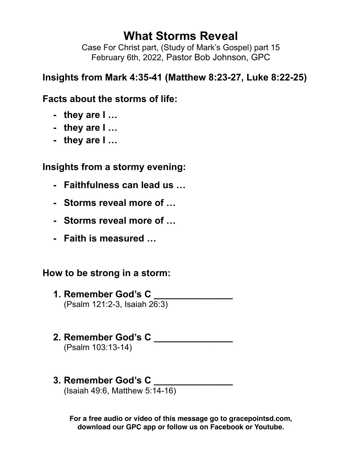# **What Storms Reveal**

Case For Christ part, (Study of Mark's Gospel) part 15 February 6th, 2022, Pastor Bob Johnson, GPC

## **Insights from Mark 4:35-41 (Matthew 8:23-27, Luke 8:22-25)**

## **Facts about the storms of life:**

- **- they are I …**
- **- they are I …**
- **- they are I …**

## **Insights from a stormy evening:**

- **- Faithfulness can lead us …**
- **- Storms reveal more of …**
- **- Storms reveal more of …**
- **- Faith is measured …**

### **How to be strong in a storm:**

- **1. Remember God's C \_\_\_\_\_\_\_\_\_\_\_\_\_\_\_** (Psalm 121:2-3, Isaiah 26:3)
- **2. Remember God's C \_\_\_\_\_\_\_\_\_\_\_\_\_\_\_** (Psalm 103:13-14)
- **3. Remember God's C \_\_\_\_\_\_\_\_\_\_\_\_\_\_\_**

(Isaiah 49:6, Matthew 5:14-16)

**For a free audio or video of this message go to gracepointsd.com, download our GPC app or follow us on Facebook or Youtube.**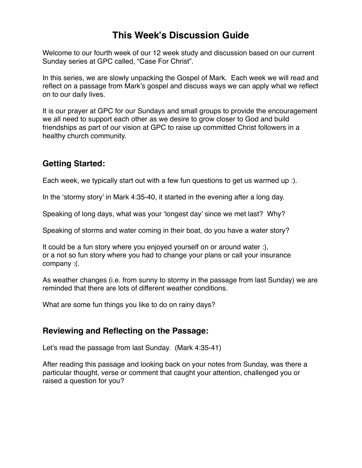### **This Week's Discussion Guide**

Welcome to our fourth week of our 12 week study and discussion based on our current Sunday series at GPC called, "Case For Christ".

In this series, we are slowly unpacking the Gospel of Mark. Each week we will read and reflect on a passage from Mark's gospel and discuss ways we can apply what we reflect on to our daily lives.

It is our prayer at GPC for our Sundays and small groups to provide the encouragement we all need to support each other as we desire to grow closer to God and build friendships as part of our vision at GPC to raise up committed Christ followers in a healthy church community.

#### **Getting Started:**

Each week, we typically start out with a few fun questions to get us warmed up :).

In the 'stormy story' in Mark 4:35-40, it started in the evening after a long day.

Speaking of long days, what was your 'longest day' since we met last? Why?

Speaking of storms and water coming in their boat, do you have a water story?

It could be a fun story where you enjoyed yourself on or around water :), or a not so fun story where you had to change your plans or call your insurance company :(.

As weather changes (i.e. from sunny to stormy in the passage from last Sunday) we are reminded that there are lots of different weather conditions.

What are some fun things you like to do on rainy days?

#### **Reviewing and Reflecting on the Passage:**

Let's read the passage from last Sunday. (Mark 4:35-41)

After reading this passage and looking back on your notes from Sunday, was there a particular thought, verse or comment that caught your attention, challenged you or raised a question for you?